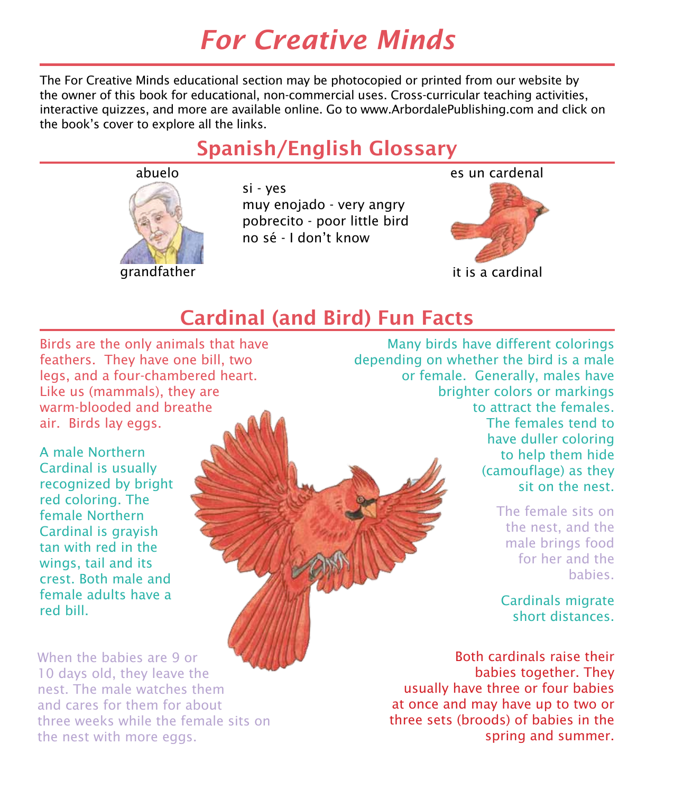# *For Creative Minds*

The For Creative Minds educational section may be photocopied or printed from our website by the owner of this book for educational, non-commercial uses. Cross-curricular teaching activities, interactive quizzes, and more are available online. Go to www.ArbordalePublishing.com and click on the book's cover to explore all the links.

### Spanish/English Glossary



si - yes muy enojado - very angry pobrecito - poor little bird no sé - I don't know

es un cardenal



it is a cardinal

### Cardinal (and Bird) Fun Facts

Birds are the only animals that have feathers. They have one bill, two legs, and a four-chambered heart. Like us (mammals), they are warm-blooded and breathe air. Birds lay eggs.

A male Northern Cardinal is usually recognized by bright red coloring. The female Northern Cardinal is grayish tan with red in the wings, tail and its crest. Both male and female adults have a red bill.

When the babies are 9 or 10 days old, they leave the nest. The male watches them and cares for them for about three weeks while the female sits on the nest with more eggs.

Many birds have different colorings depending on whether the bird is a male or female. Generally, males have brighter colors or markings to attract the females. The females tend to have duller coloring to help them hide (camouflage) as they sit on the nest.

> The female sits on the nest, and the male brings food for her and the babies.

Cardinals migrate short distances.

Both cardinals raise their babies together. They usually have three or four babies at once and may have up to two or three sets (broods) of babies in the spring and summer.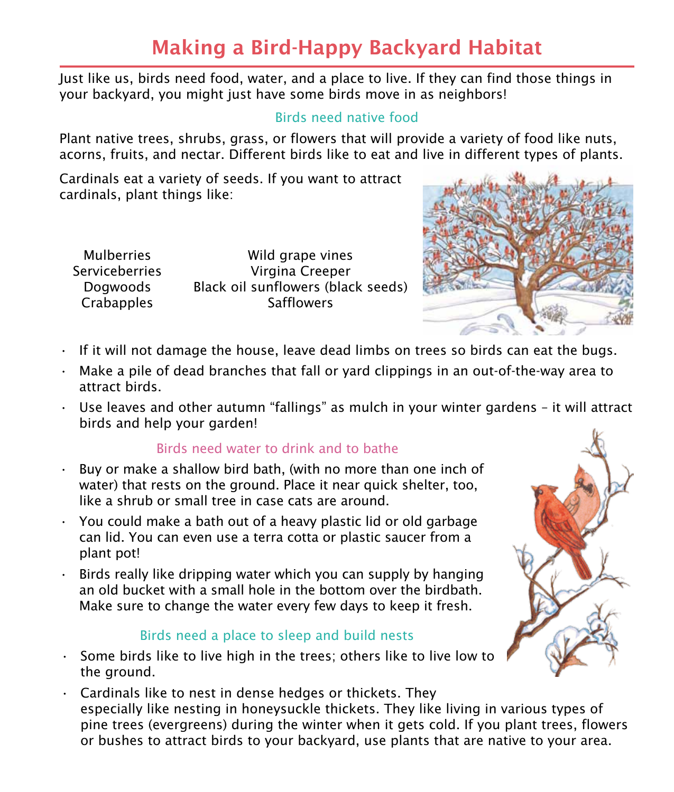## Making a Bird-Happy Backyard Habitat

Just like us, birds need food, water, and a place to live. If they can find those things in your backyard, you might just have some birds move in as neighbors!

### Birds need native food

Plant native trees, shrubs, grass, or flowers that will provide a variety of food like nuts, acorns, fruits, and nectar. Different birds like to eat and live in different types of plants.

Cardinals eat a variety of seeds. If you want to attract cardinals, plant things like:

Mulberries **Serviceberries** Dogwoods **Crabapples** 

Wild grape vines Virgina Creeper Black oil sunflowers (black seeds) **Safflowers** 



- $\cdot$  If it will not damage the house, leave dead limbs on trees so birds can eat the bugs.
- $\cdot$  Make a pile of dead branches that fall or vard clippings in an out-of-the-way area to attract birds.
- $\cdot$  Use leaves and other autumn "fallings" as mulch in your winter gardens it will attract birds and help your garden!

#### Birds need water to drink and to bathe

- Buy or make a shallow bird bath, (with no more than one inch of water) that rests on the ground. Place it near quick shelter, too, like a shrub or small tree in case cats are around.
- $\cdot$  You could make a bath out of a heavy plastic lid or old garbage can lid. You can even use a terra cotta or plastic saucer from a plant pot!
- Birds really like dripping water which you can supply by hanging an old bucket with a small hole in the bottom over the birdbath. Make sure to change the water every few days to keep it fresh.

#### Birds need a place to sleep and build nests

- $\cdot$  Some birds like to live high in the trees; others like to live low to the ground.
- $\cdot$  Cardinals like to nest in dense hedges or thickets. They especially like nesting in honeysuckle thickets. They like living in various types of pine trees (evergreens) during the winter when it gets cold. If you plant trees, flowers or bushes to attract birds to your backyard, use plants that are native to your area.

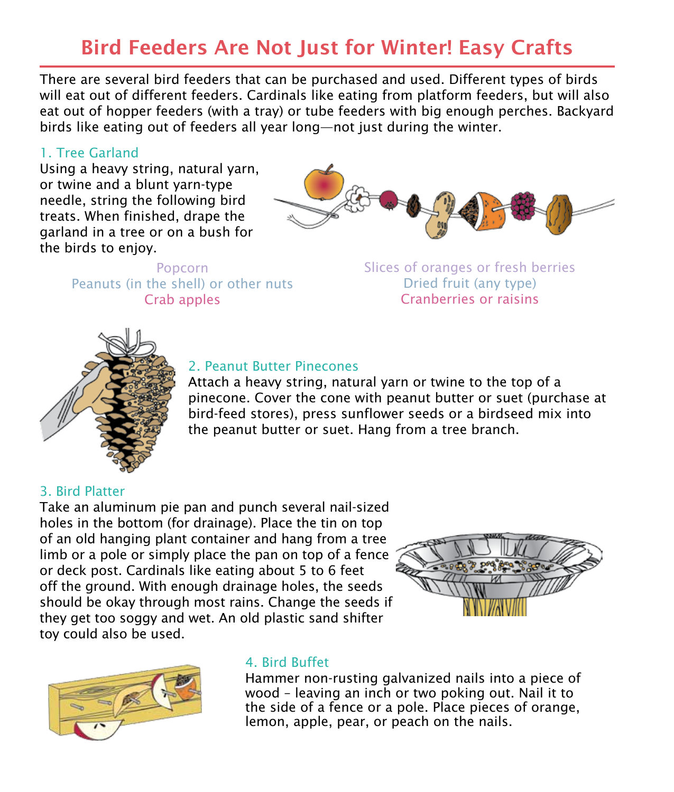### Bird Feeders Are Not Just for Winter! Easy Crafts

There are several bird feeders that can be purchased and used. Different types of birds will eat out of different feeders. Cardinals like eating from platform feeders, but will also eat out of hopper feeders (with a tray) or tube feeders with big enough perches. Backyard birds like eating out of feeders all year long—not just during the winter.

#### 1. Tree Garland

Using a heavy string, natural yarn, or twine and a blunt yarn-type needle, string the following bird treats. When finished, drape the garland in a tree or on a bush for the birds to enjoy.



Popcorn Peanuts (in the shell) or other nuts Crab apples

Slices of oranges or fresh berries Dried fruit (any type) Cranberries or raisins



### 2. Peanut Butter Pinecones

Attach a heavy string, natural yarn or twine to the top of a pinecone. Cover the cone with peanut butter or suet (purchase at bird-feed stores), press sunflower seeds or a birdseed mix into the peanut butter or suet. Hang from a tree branch.

#### 3. Bird Platter

Take an aluminum pie pan and punch several nail-sized holes in the bottom (for drainage). Place the tin on top of an old hanging plant container and hang from a tree limb or a pole or simply place the pan on top of a fence or deck post. Cardinals like eating about 5 to 6 feet off the ground. With enough drainage holes, the seeds should be okay through most rains. Change the seeds if they get too soggy and wet. An old plastic sand shifter toy could also be used.





#### 4. Bird Buffet

Hammer non-rusting galvanized nails into a piece of wood – leaving an inch or two poking out. Nail it to the side of a fence or a pole. Place pieces of orange, lemon, apple, pear, or peach on the nails.